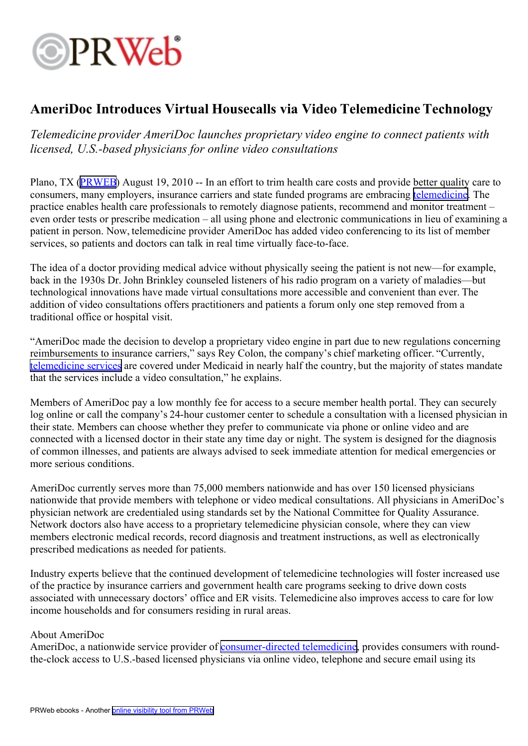## **OPRWeb**

## **AmeriDoc Introduces Virtual Housecalls via Video TelemedicineTechnology**

*Telemedicine provider AmeriDoc launches proprietary video engine to connect patients with licensed, U.S.-based physicians for online video consultations*

Plano, TX [\(PRWEB](http://www.prweb.com)) August 19, 2010 -- In an effort to trim health care costs and provide better quality care to consumers, many employers, insurance carriers and state funded programs are embracing [telemedicine](http://www.ameridoc.com). The practice enables health care professionals to remotely diagnose patients, recommend and monitor treatment – even order tests or prescribe medication – all using phone and electronic communications in lieu of examining <sup>a</sup> patient in person. Now, telemedicine provider AmeriDoc has added video conferencing to its list of member services, so patients and doctors can talk in real time virtually face-to-face.

The idea of <sup>a</sup> doctor providing medical advice without physically seeing the patient is not new—for example, back in the 1930s Dr. John Brinkley counseled listeners of his radio program on <sup>a</sup> variety of maladies—but technological innovations have made virtual consultations more accessible and convenient than ever. The addition of video consultations offers practitioners and patients <sup>a</sup> forum only one step removed from <sup>a</sup> traditional office or hospital visit.

"AmeriDoc made the decision to develop <sup>a</sup> proprietary video engine in par<sup>t</sup> due to new regulations concerning reimbursements to insurance carriers," says Rey Colon, the company's chief marketing officer. "Currently, [telemedicine](http://www.ameridoc.com) services are covered under Medicaid in nearly half the country, but the majority of states mandate that the services include <sup>a</sup> video consultation," he explains.

Members of AmeriDoc pay <sup>a</sup> low monthly fee for access to <sup>a</sup> secure member health portal. They can securely log online or call the company's 24-hour customer center to schedule <sup>a</sup> consultation with <sup>a</sup> licensed physician in their state. Members can choose whether they prefer to communicate via phone or online video and are connected with <sup>a</sup> licensed doctor in their state any time day or night. The system is designed for the diagnosis of common illnesses, and patients are always advised to seek immediate attention for medical emergencies or more serious conditions.

AmeriDoc currently serves more than 75,000 members nationwide and has over 150 licensed physicians nationwide that provide members with telephone or video medical consultations. All physicians in AmeriDoc's physician network are credentialed using standards set by the National Committee for Quality Assurance. Network doctors also have access to <sup>a</sup> proprietary telemedicine physician console, where they can view members electronic medical records, record diagnosis and treatment instructions, as well as electronically prescribed medications as needed for patients.

Industry experts believe that the continued development of telemedicine technologies will foster increased use of the practice by insurance carriers and governmen<sup>t</sup> health care programs seeking to drive down costs associated with unnecessary doctors' office and ER visits. Telemedicine also improves access to care for low income households and for consumers residing in rural areas.

## About AmeriDoc

AmeriDoc, a nationwide service provider of **[consumer-directed](http://www.ameridoc.com) telemedicine**, provides consumers with roundthe-clock access to U.S.-based licensed physicians via online video, telephone and secure email using its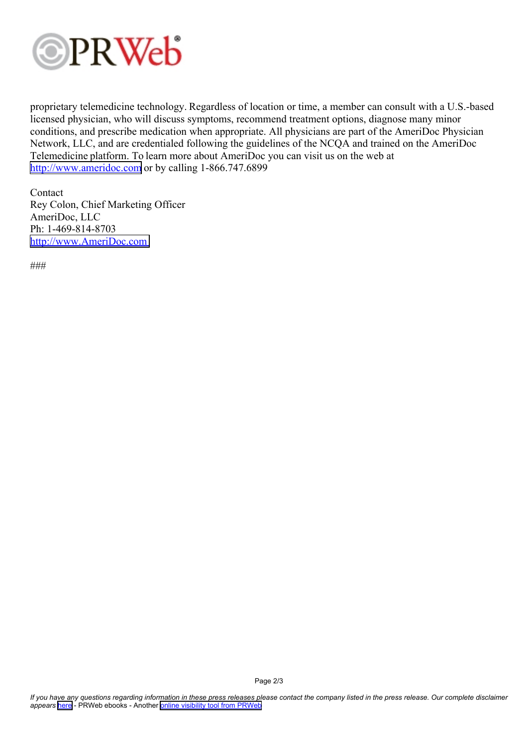

proprietary telemedicine technology. Regardless of location or time, <sup>a</sup> member can consult with <sup>a</sup> U.S.-based licensed physician, who will discuss symptoms, recommend treatment options, diagnose many minor conditions, and prescribe medication when appropriate. All physicians are par<sup>t</sup> of the AmeriDoc Physician Network, LLC, and are credentialed following the guidelines of the NCQA and trained on the AmeriDoc Telemedicine platform. To learn more about AmeriDoc you can visit us on the web at <http://www.ameridoc.com> or by calling 1-866.747.6899

Contact Rey Colon, Chief Marketing Officer AmeriDoc, LLC Ph: 1-469-814-8703 <http://www.AmeriDoc.com>

###